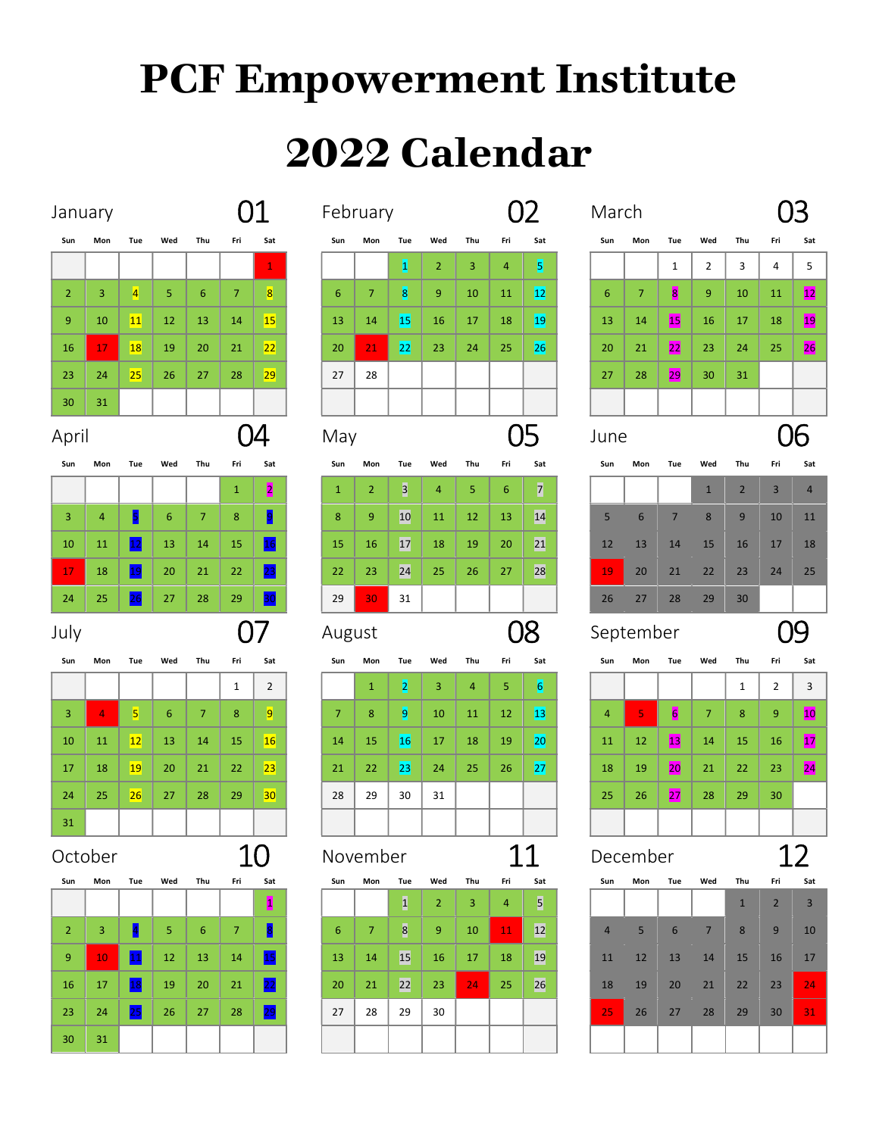## PCF Empowerment Institute

## 2022 Calendar